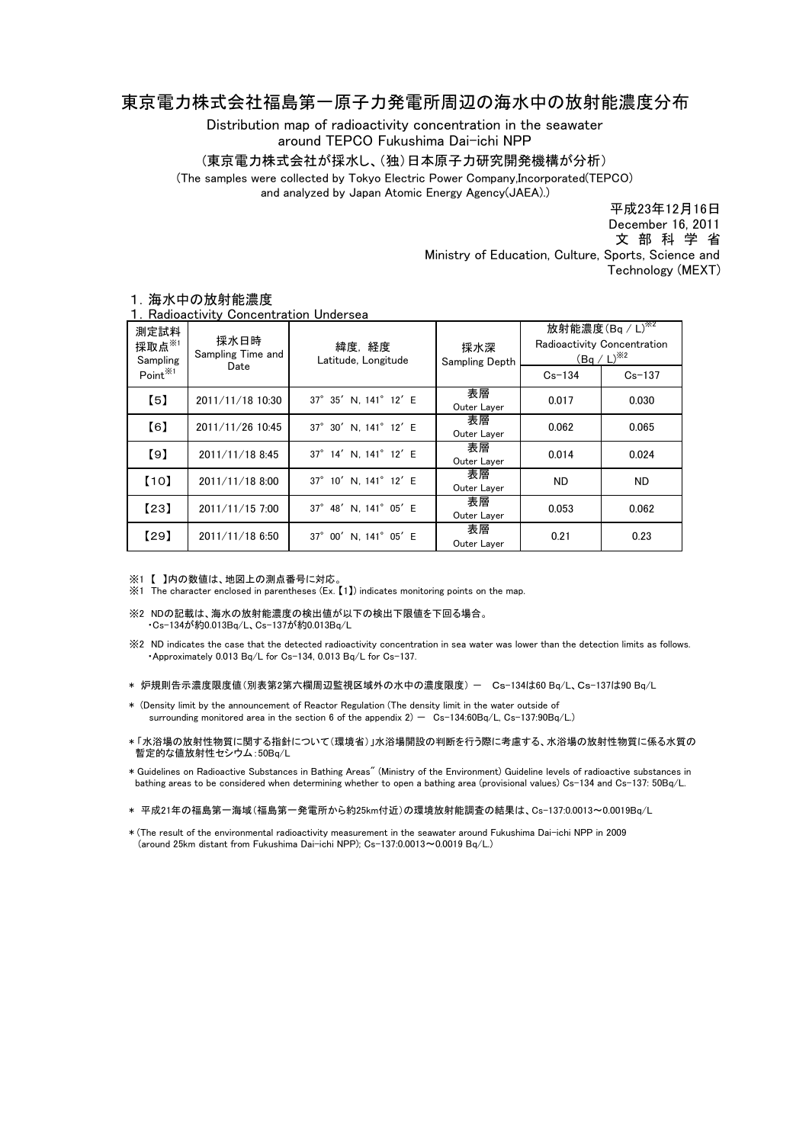## 東京電力株式会社福島第一原子力発電所周辺の海水中の放射能濃度分布

Distribution map of radioactivity concentration in the seawater around TEPCO Fukushima Dai-ichi NPP

(東京電力株式会社が採水し、(独)日本原子力研究開発機構が分析)

(The samples were collected by Tokyo Electric Power Company,Incorporated(TEPCO)

and analyzed by Japan Atomic Energy Agency(JAEA).)

Ministry of Education, Culture, Sports, Science and Technology (MEXT) 平成23年12月16日 文 部 科 学 省 December 16, 2011

| 測定試料<br>採取点 $*$<br>Sampling<br>Point <sup>※1</sup> | 採水日時<br>Sampling Time and<br>Date | 緯度,経度<br>Latitude, Longitude | 採水深<br><b>Sampling Depth</b> | 放射能濃度(Bq / L) <sup>※2</sup><br>Radioactivity Concentration<br>$(Bq/L)^{3/2}$<br>$Cs - 134$<br>$Cs - 137$ |       |
|----------------------------------------------------|-----------------------------------|------------------------------|------------------------------|----------------------------------------------------------------------------------------------------------|-------|
| $\left[5\right]$                                   | 2011/11/18 10:30                  | 37° 35' N, 141° 12' E        | 表層<br>Outer Layer            | 0.017                                                                                                    | 0.030 |
| [6]                                                | 2011/11/26 10:45                  | 37° 30' N, 141° 12' E        | 表層<br>Outer Layer            | 0.062                                                                                                    | 0.065 |
| [9]                                                | 2011/11/18 8:45                   | 37° 14' N. 141° 12' E        | 表層<br>Outer Layer            | 0.014                                                                                                    | 0.024 |
| [10]                                               | 2011/11/18 8:00                   | 37° 10' N. 141° 12' E        | 表層<br>Outer Layer            | <b>ND</b>                                                                                                | ND.   |
| [23]                                               | 2011/11/15 7:00                   | 37° 48' N. 141° 05' E        | 表層<br>Outer Layer            | 0.053                                                                                                    | 0.062 |
| [29]                                               | 2011/11/18 6:50                   | 37° 00' N. 141° 05' E        | 表層<br>Outer Layer            | 0.21                                                                                                     | 0.23  |

## 1.海水中の放射能濃度

1.Radioactivity Concentration Undersea

※1 【 】内の数値は、地図上の測点番号に対応。

※1 The character enclosed in parentheses (Ex. 【1】) indicates monitoring points on the map.

- ※2 NDの記載は、海水の放射能濃度の検出値が以下の検出下限値を下回る場合。 ・Cs-134が約0.013Bq/L、Cs-137が約0.013Bq/L
- ※2 ND indicates the case that the detected radioactivity concentration in sea water was lower than the detection limits as follows. ・Approximately 0.013 Bq/L for Cs-134, 0.013 Bq/L for Cs-137.
- \* 炉規則告示濃度限度値(別表第2第六欄周辺監視区域外の水中の濃度限度) Cs-134は60 Bq/L、Cs-137は90 Bq/L
- \* (Density limit by the announcement of Reactor Regulation (The density limit in the water outside of surrounding monitored area in the section 6 of the appendix  $2) - Cs - 134:60Bq/L$ , Cs-137:90Bq/L.)
- \* 「水浴場の放射性物質に関する指針について(環境省)」水浴場開設の判断を行う際に考慮する、水浴場の放射性物質に係る水質の 暫定的な値放射性セシウム:50Bq/L
- \* Guidelines on Radioactive Substances in Bathing Areas" (Ministry of the Environment) Guideline levels of radioactive substances in bathing areas to be considered when determining whether to open a bathing area (provisional values) Cs-134 and Cs-137: 50Bq/L.
- \* 平成21年の福島第一海域(福島第一発電所から約25km付近)の環境放射能調査の結果は、Cs-137:0.0013~0.0019Bq/L
- \* (The result of the environmental radioactivity measurement in the seawater around Fukushima Dai-ichi NPP in 2009 (around 25km distant from Fukushima Dai-ichi NPP); Cs-137:0.0013~0.0019 Bq/L.)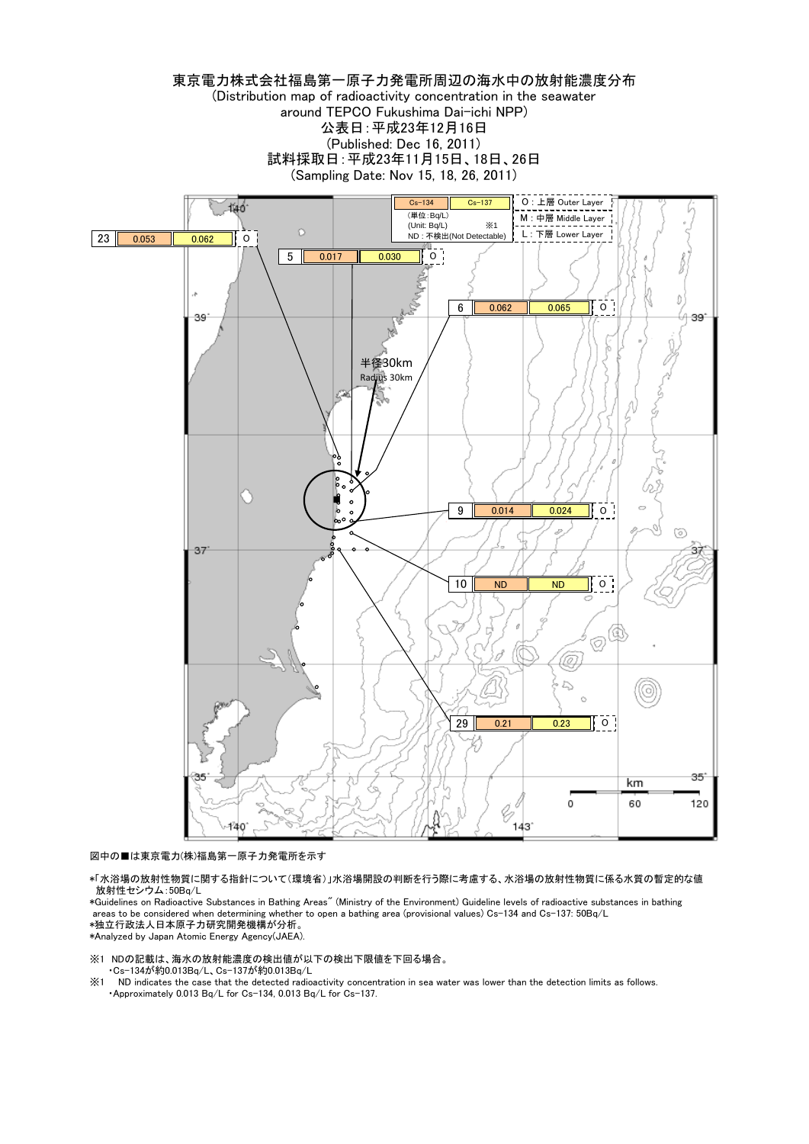

図中の■は東京電力(株)福島第一原子力発電所を示す

\*「水浴場の放射性物質に関する指針について(環境省)」水浴場開設の判断を行う際に考慮する、水浴場の放射性物質に係る水質の暫定的な値 放射性セシウム:50Bq/L

\*Guidelines on Radioactive Substances in Bathing Areas" (Ministry of the Environment) Guideline levels of radioactive substances in bathing areas to be considered when determining whether to open a bathing area (provisional values) Cs-134 and Cs-137: 50Bq/L \*独立行政法人日本原子力研究開発機構が分析。

\*Analyzed by Japan Atomic Energy Agency(JAEA).

※1 NDの記載は、海水の放射能濃度の検出値が以下の検出下限値を下回る場合。 ・Cs-134が約0.013Bq/L、Cs-137が約0.013Bq/L

※1 ND indicates the case that the detected radioactivity concentration in sea water was lower than the detection limits as follows. ・Approximately 0.013 Bq/L for Cs-134, 0.013 Bq/L for Cs-137.